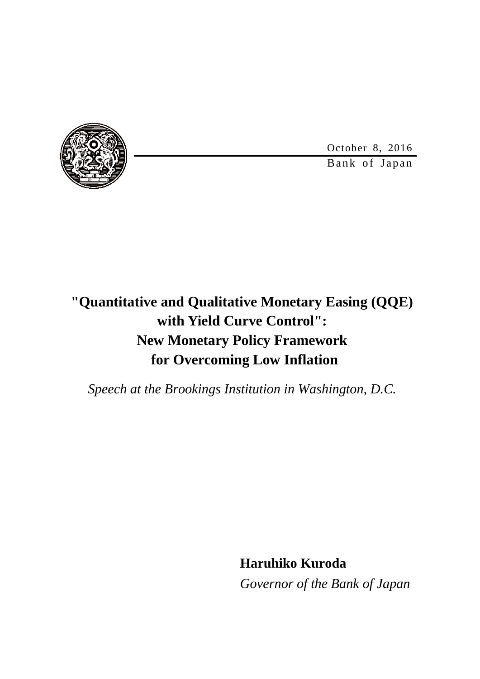Bank of Japan October 8, 2016

# **"Quantitative and Qualitative Monetary Easing (QQE) with Yield Curve Control": New Monetary Policy Framework for Overcoming Low Inflation**

*Speech at the Brookings Institution in Washington, D.C.*

**Haruhiko Kuroda**

*Governor of the Bank of Japan*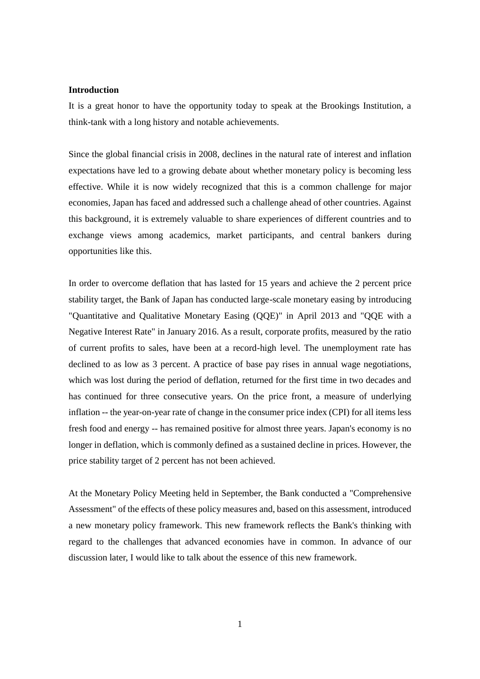#### **Introduction**

It is a great honor to have the opportunity today to speak at the Brookings Institution, a think-tank with a long history and notable achievements.

Since the global financial crisis in 2008, declines in the natural rate of interest and inflation expectations have led to a growing debate about whether monetary policy is becoming less effective. While it is now widely recognized that this is a common challenge for major economies, Japan has faced and addressed such a challenge ahead of other countries. Against this background, it is extremely valuable to share experiences of different countries and to exchange views among academics, market participants, and central bankers during opportunities like this.

In order to overcome deflation that has lasted for 15 years and achieve the 2 percent price stability target, the Bank of Japan has conducted large-scale monetary easing by introducing "Quantitative and Qualitative Monetary Easing (QQE)" in April 2013 and "QQE with a Negative Interest Rate" in January 2016. As a result, corporate profits, measured by the ratio of current profits to sales, have been at a record-high level. The unemployment rate has declined to as low as 3 percent. A practice of base pay rises in annual wage negotiations, which was lost during the period of deflation, returned for the first time in two decades and has continued for three consecutive years. On the price front, a measure of underlying inflation -- the year-on-year rate of change in the consumer price index (CPI) for all items less fresh food and energy -- has remained positive for almost three years. Japan's economy is no longer in deflation, which is commonly defined as a sustained decline in prices. However, the price stability target of 2 percent has not been achieved.

At the Monetary Policy Meeting held in September, the Bank conducted a "Comprehensive Assessment" of the effects of these policy measures and, based on this assessment, introduced a new monetary policy framework. This new framework reflects the Bank's thinking with regard to the challenges that advanced economies have in common. In advance of our discussion later, I would like to talk about the essence of this new framework.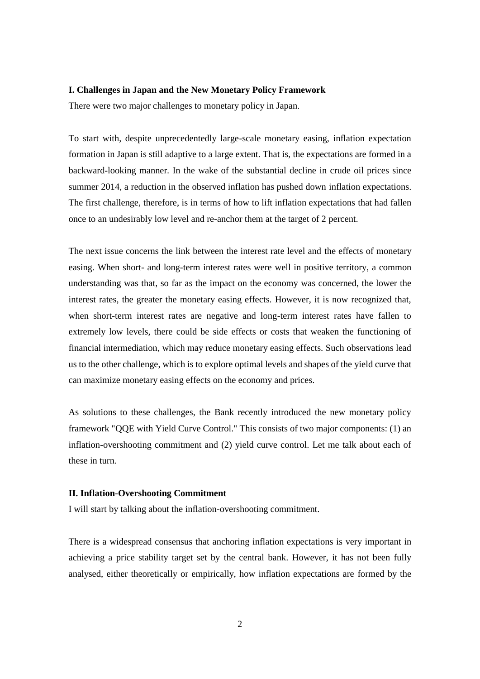#### **I. Challenges in Japan and the New Monetary Policy Framework**

There were two major challenges to monetary policy in Japan.

To start with, despite unprecedentedly large-scale monetary easing, inflation expectation formation in Japan is still adaptive to a large extent. That is, the expectations are formed in a backward-looking manner. In the wake of the substantial decline in crude oil prices since summer 2014, a reduction in the observed inflation has pushed down inflation expectations. The first challenge, therefore, is in terms of how to lift inflation expectations that had fallen once to an undesirably low level and re-anchor them at the target of 2 percent.

The next issue concerns the link between the interest rate level and the effects of monetary easing. When short- and long-term interest rates were well in positive territory, a common understanding was that, so far as the impact on the economy was concerned, the lower the interest rates, the greater the monetary easing effects. However, it is now recognized that, when short-term interest rates are negative and long-term interest rates have fallen to extremely low levels, there could be side effects or costs that weaken the functioning of financial intermediation, which may reduce monetary easing effects. Such observations lead us to the other challenge, which is to explore optimal levels and shapes of the yield curve that can maximize monetary easing effects on the economy and prices.

As solutions to these challenges, the Bank recently introduced the new monetary policy framework "QQE with Yield Curve Control." This consists of two major components: (1) an inflation-overshooting commitment and (2) yield curve control. Let me talk about each of these in turn.

## **II. Inflation-Overshooting Commitment**

I will start by talking about the inflation-overshooting commitment.

There is a widespread consensus that anchoring inflation expectations is very important in achieving a price stability target set by the central bank. However, it has not been fully analysed, either theoretically or empirically, how inflation expectations are formed by the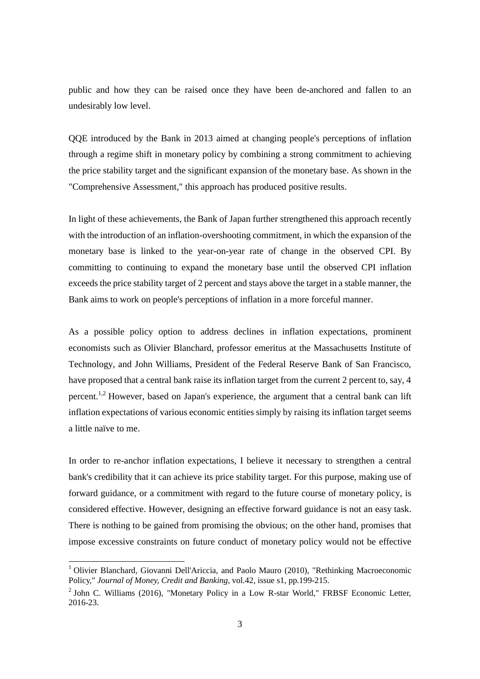public and how they can be raised once they have been de-anchored and fallen to an undesirably low level.

QQE introduced by the Bank in 2013 aimed at changing people's perceptions of inflation through a regime shift in monetary policy by combining a strong commitment to achieving the price stability target and the significant expansion of the monetary base. As shown in the "Comprehensive Assessment," this approach has produced positive results.

In light of these achievements, the Bank of Japan further strengthened this approach recently with the introduction of an inflation-overshooting commitment, in which the expansion of the monetary base is linked to the year-on-year rate of change in the observed CPI. By committing to continuing to expand the monetary base until the observed CPI inflation exceeds the price stability target of 2 percent and stays above the target in a stable manner, the Bank aims to work on people's perceptions of inflation in a more forceful manner.

As a possible policy option to address declines in inflation expectations, prominent economists such as Olivier Blanchard, professor emeritus at the Massachusetts Institute of Technology, and John Williams, President of the Federal Reserve Bank of San Francisco, have proposed that a central bank raise its inflation target from the current 2 percent to, say, 4 percent.<sup>1,2</sup> However, based on Japan's experience, the argument that a central bank can lift inflation expectations of various economic entities simply by raising its inflation target seems a little naïve to me.

In order to re-anchor inflation expectations, I believe it necessary to strengthen a central bank's credibility that it can achieve its price stability target. For this purpose, making use of forward guidance, or a commitment with regard to the future course of monetary policy, is considered effective. However, designing an effective forward guidance is not an easy task. There is nothing to be gained from promising the obvious; on the other hand, promises that impose excessive constraints on future conduct of monetary policy would not be effective

<u>.</u>

 $1$  Olivier Blanchard, Giovanni Dell'Ariccia, and Paolo Mauro (2010), "Rethinking Macroeconomic Policy," *Journal of Money, Credit and Banking*, vol.42, issue s1, pp.199-215.

 $2$  John C. Williams (2016), "Monetary Policy in a Low R-star World," FRBSF Economic Letter, 2016-23.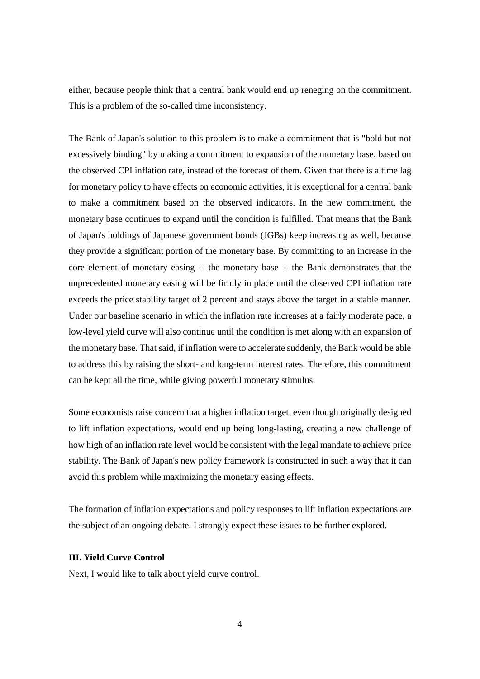either, because people think that a central bank would end up reneging on the commitment. This is a problem of the so-called time inconsistency.

The Bank of Japan's solution to this problem is to make a commitment that is "bold but not excessively binding" by making a commitment to expansion of the monetary base, based on the observed CPI inflation rate, instead of the forecast of them. Given that there is a time lag for monetary policy to have effects on economic activities, it is exceptional for a central bank to make a commitment based on the observed indicators. In the new commitment, the monetary base continues to expand until the condition is fulfilled. That means that the Bank of Japan's holdings of Japanese government bonds (JGBs) keep increasing as well, because they provide a significant portion of the monetary base. By committing to an increase in the core element of monetary easing -- the monetary base -- the Bank demonstrates that the unprecedented monetary easing will be firmly in place until the observed CPI inflation rate exceeds the price stability target of 2 percent and stays above the target in a stable manner. Under our baseline scenario in which the inflation rate increases at a fairly moderate pace, a low-level yield curve will also continue until the condition is met along with an expansion of the monetary base. That said, if inflation were to accelerate suddenly, the Bank would be able to address this by raising the short- and long-term interest rates. Therefore, this commitment can be kept all the time, while giving powerful monetary stimulus.

Some economists raise concern that a higher inflation target, even though originally designed to lift inflation expectations, would end up being long-lasting, creating a new challenge of how high of an inflation rate level would be consistent with the legal mandate to achieve price stability. The Bank of Japan's new policy framework is constructed in such a way that it can avoid this problem while maximizing the monetary easing effects.

The formation of inflation expectations and policy responses to lift inflation expectations are the subject of an ongoing debate. I strongly expect these issues to be further explored.

## **III. Yield Curve Control**

Next, I would like to talk about yield curve control.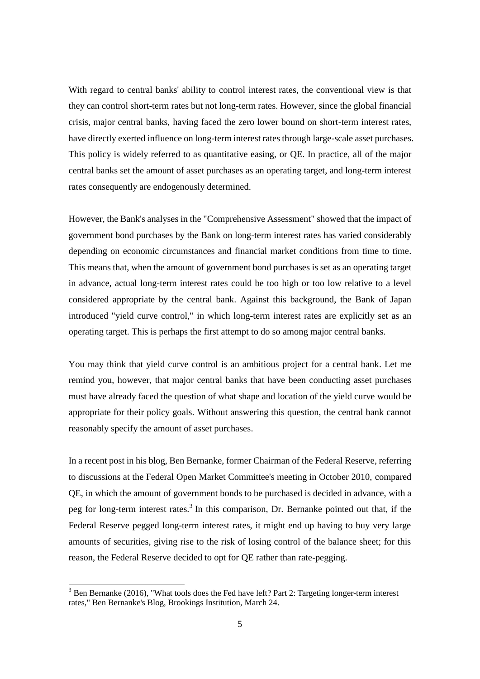With regard to central banks' ability to control interest rates, the conventional view is that they can control short-term rates but not long-term rates. However, since the global financial crisis, major central banks, having faced the zero lower bound on short-term interest rates, have directly exerted influence on long-term interest rates through large-scale asset purchases. This policy is widely referred to as quantitative easing, or QE. In practice, all of the major central banks set the amount of asset purchases as an operating target, and long-term interest rates consequently are endogenously determined.

However, the Bank's analyses in the "Comprehensive Assessment" showed that the impact of government bond purchases by the Bank on long-term interest rates has varied considerably depending on economic circumstances and financial market conditions from time to time. This means that, when the amount of government bond purchases is set as an operating target in advance, actual long-term interest rates could be too high or too low relative to a level considered appropriate by the central bank. Against this background, the Bank of Japan introduced "yield curve control," in which long-term interest rates are explicitly set as an operating target. This is perhaps the first attempt to do so among major central banks.

You may think that yield curve control is an ambitious project for a central bank. Let me remind you, however, that major central banks that have been conducting asset purchases must have already faced the question of what shape and location of the yield curve would be appropriate for their policy goals. Without answering this question, the central bank cannot reasonably specify the amount of asset purchases.

In a recent post in his blog, Ben Bernanke, former Chairman of the Federal Reserve, referring to discussions at the Federal Open Market Committee's meeting in October 2010, compared QE, in which the amount of government bonds to be purchased is decided in advance, with a peg for long-term interest rates.<sup>3</sup> In this comparison, Dr. Bernanke pointed out that, if the Federal Reserve pegged long-term interest rates, it might end up having to buy very large amounts of securities, giving rise to the risk of losing control of the balance sheet; for this reason, the Federal Reserve decided to opt for QE rather than rate-pegging.

-

 $3$  Ben Bernanke (2016), "What tools does the Fed have left? Part 2: Targeting longer-term interest rates," Ben Bernanke's Blog, Brookings Institution, March 24.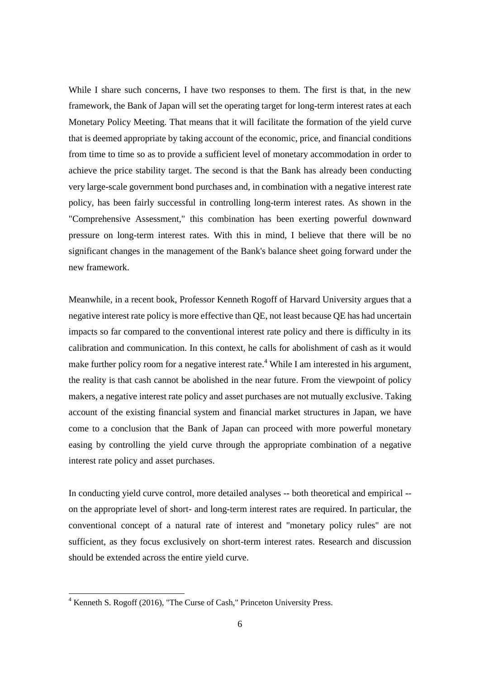While I share such concerns, I have two responses to them. The first is that, in the new framework, the Bank of Japan will set the operating target for long-term interest rates at each Monetary Policy Meeting. That means that it will facilitate the formation of the yield curve that is deemed appropriate by taking account of the economic, price, and financial conditions from time to time so as to provide a sufficient level of monetary accommodation in order to achieve the price stability target. The second is that the Bank has already been conducting very large-scale government bond purchases and, in combination with a negative interest rate policy, has been fairly successful in controlling long-term interest rates. As shown in the "Comprehensive Assessment," this combination has been exerting powerful downward pressure on long-term interest rates. With this in mind, I believe that there will be no significant changes in the management of the Bank's balance sheet going forward under the new framework.

Meanwhile, in a recent book, Professor Kenneth Rogoff of Harvard University argues that a negative interest rate policy is more effective than QE, not least because QE has had uncertain impacts so far compared to the conventional interest rate policy and there is difficulty in its calibration and communication. In this context, he calls for abolishment of cash as it would make further policy room for a negative interest rate.<sup>4</sup> While I am interested in his argument, the reality is that cash cannot be abolished in the near future. From the viewpoint of policy makers, a negative interest rate policy and asset purchases are not mutually exclusive. Taking account of the existing financial system and financial market structures in Japan, we have come to a conclusion that the Bank of Japan can proceed with more powerful monetary easing by controlling the yield curve through the appropriate combination of a negative interest rate policy and asset purchases.

In conducting yield curve control, more detailed analyses -- both theoretical and empirical - on the appropriate level of short- and long-term interest rates are required. In particular, the conventional concept of a natural rate of interest and "monetary policy rules" are not sufficient, as they focus exclusively on short-term interest rates. Research and discussion should be extended across the entire yield curve.

<u>.</u>

 $4$  Kenneth S. Rogoff (2016), "The Curse of Cash," Princeton University Press.